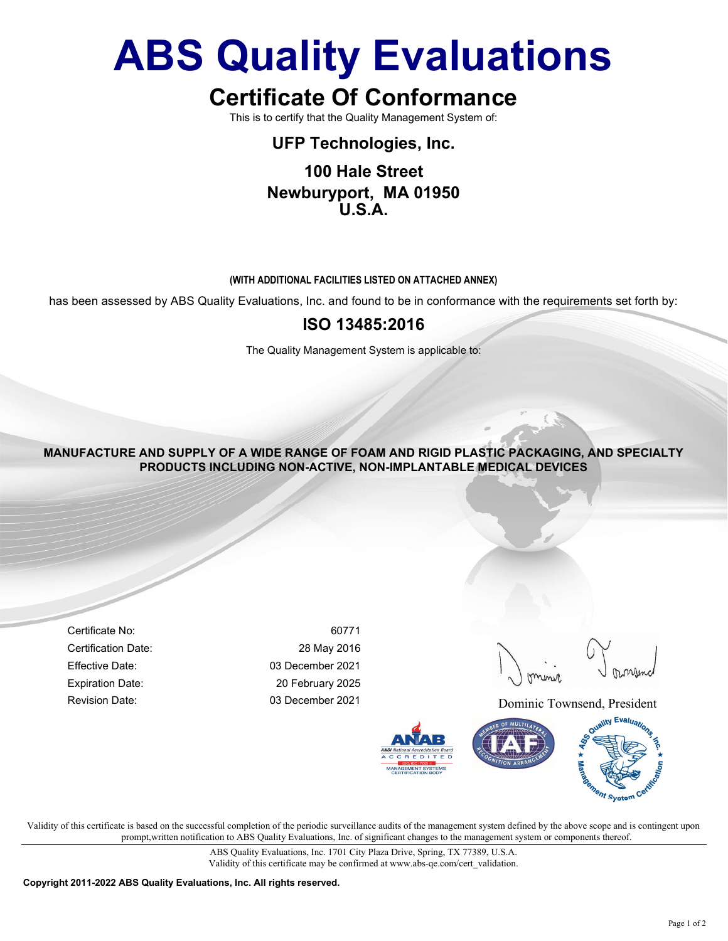# ABS Quality Evaluations

# Certificate Of Conformance

This is to certify that the Quality Management System of:

## UFP Technologies, Inc.

### 100 Hale Street Newburyport, MA 01950 U.S.A.

#### (WITH ADDITIONAL FACILITIES LISTED ON ATTACHED ANNEX)

has been assessed by ABS Quality Evaluations, Inc. and found to be in conformance with the requirements set forth by:

### ISO 13485:2016

The Quality Management System is applicable to:

MANUFACTURE AND SUPPLY OF A WIDE RANGE OF FOAM AND RIGID PLASTIC PACKAGING, AND SPECIALTY PRODUCTS INCLUDING NON-ACTIVE, NON-IMPLANTABLE MEDICAL DEVICES

Certificate No: 60771 Certification Date: 28 May 2016 Effective Date: 03 December 2021 Expiration Date: 20 February 2025

Revision Date: 03 December 2021 Dominic Townsend, President



Validity of this certificate is based on the successful completion of the periodic surveillance audits of the management system defined by the above scope and is contingent upon prompt,written notification to ABS Quality Evaluations, Inc. of significant changes to the management system or components thereof.

> ABS Quality Evaluations, Inc. 1701 City Plaza Drive, Spring, TX 77389, U.S.A. Validity of this certificate may be confirmed at www.abs-qe.com/cert\_validation.

Copyright 2011-2022 ABS Quality Evaluations, Inc. All rights reserved.